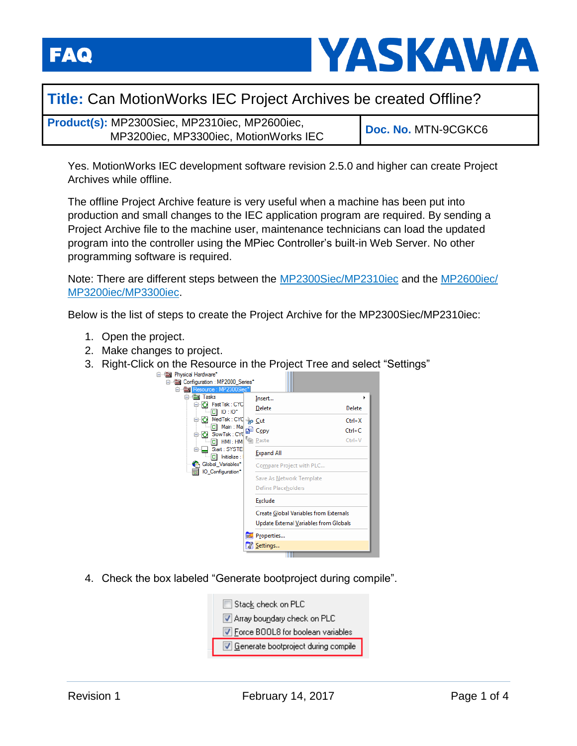

## **Title:** Can MotionWorks IEC Project Archives be created Offline?

**Product(s):** MP2300Siec, MP2310iec, MP2600iec, MP3200iec, MP3300iec, MotionWorks IEC **Doc. No.** MTN-9CGKC6

Yes. MotionWorks IEC development software revision 2.5.0 and higher can create Project Archives while offline.

The offline Project Archive feature is very useful when a machine has been put into production and small changes to the IEC application program are required. By sending a Project Archive file to the machine user, maintenance technicians can load the updated program into the controller using the MPiec Controller's built-in Web Server. No other programming software is required.

Note: There are different steps between the [MP2300Siec/MP2310iec](#page-0-0) and the [MP2600iec/](#page-2-0) [MP3200iec/MP3300iec.](#page-2-0)

<span id="page-0-0"></span>Below is the list of steps to create the Project Archive for the MP2300Siec/MP2310iec:

- 1. Open the project.
- 2. Make changes to project.
- 3. Right-Click on the Resource in the Project Tree and select "Settings"



4. Check the box labeled "Generate bootproject during compile".

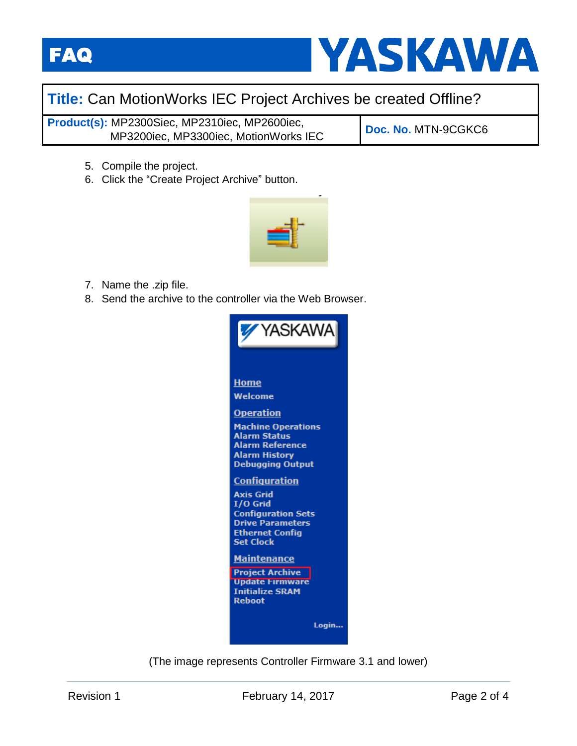



## **Title:** Can MotionWorks IEC Project Archives be created Offline?

**Product(s):** MP2300Siec, MP2310iec, MP2600iec, MP3200iec, MP3300iec, MotionWorks IEC **Doc. No.** MTN-9CGKC6

- 5. Compile the project.
- 6. Click the "Create Project Archive" button.



- 7. Name the .zip file.
- 8. Send the archive to the controller via the Web Browser.



(The image represents Controller Firmware 3.1 and lower)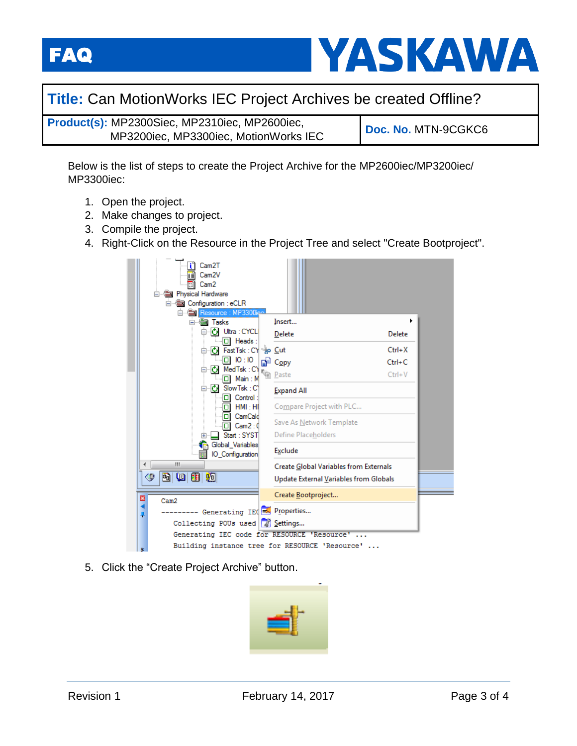**FAQ** 



## **Title:** Can MotionWorks IEC Project Archives be created Offline?

**Product(s):** MP2300Siec, MP2310iec, MP2600iec, MP3200iec, MP3300iec, MotionWorks IEC **Doc. No.** MTN-9CGKC6

<span id="page-2-0"></span>Below is the list of steps to create the Project Archive for the MP2600iec/MP3200iec/ MP3300iec:

- 1. Open the project.
- 2. Make changes to project.
- 3. Compile the project.
- 4. Right-Click on the Resource in the Project Tree and select "Create Bootproject".

|                                                        | Cam <sub>2</sub> T<br>Cam <sub>2V</sub><br>Cam <sub>2</sub><br><b>Sales Physical Hardware</b><br><b>Configuration : eCLR</b> |                                   |                                        |            |  |  |  |
|--------------------------------------------------------|------------------------------------------------------------------------------------------------------------------------------|-----------------------------------|----------------------------------------|------------|--|--|--|
|                                                        | <b>es Tasks</b>                                                                                                              |                                   | Insert                                 | ١          |  |  |  |
|                                                        | C Ultra : CYCL                                                                                                               |                                   | Delete                                 | Delete     |  |  |  |
|                                                        | $\Box$ Heads:<br>Fast Tsk: CY + O Cut<br>Ō.                                                                                  |                                   |                                        | $Ctrl+X$   |  |  |  |
|                                                        | IO:IO                                                                                                                        | d₽                                | $C_{Qpy}$                              | $Ctrl + C$ |  |  |  |
| Ю<br>MedTsk: CY<br>ol<br>Main : M                      |                                                                                                                              | <sup>r</sup> <sub>(e)</sub> Paste | $Ctrl + V$                             |            |  |  |  |
| ⊟ <i>i</i> Slow Tsk : C'<br>Control:<br>HMI : HI<br>пι |                                                                                                                              |                                   | <b>Expand All</b>                      |            |  |  |  |
|                                                        |                                                                                                                              |                                   | Compare Project with PLC               |            |  |  |  |
|                                                        | CamCald<br>о<br>Cam2:0<br>п                                                                                                  |                                   | Save As Network Template               |            |  |  |  |
|                                                        | Start: SYST                                                                                                                  |                                   | Define Placeholders                    |            |  |  |  |
| Global_Variables<br>IO Configuration                   |                                                                                                                              |                                   | Exclude                                |            |  |  |  |
| m<br>∢                                                 |                                                                                                                              |                                   | Create Global Variables from Externals |            |  |  |  |
| & (10 8 40 10<br>⇔                                     |                                                                                                                              |                                   | Update External Variables from Globals |            |  |  |  |
| ×<br>Cam2                                              |                                                                                                                              |                                   | Create Bootproject                     |            |  |  |  |
| Generating IEC = Properties<br>루                       |                                                                                                                              |                                   |                                        |            |  |  |  |
| Collecting POUs used 7 Settings                        |                                                                                                                              |                                   |                                        |            |  |  |  |
|                                                        | Generating IEC code for RESOURCE 'Resource'                                                                                  |                                   |                                        |            |  |  |  |
| Building instance tree for RESOURCE 'Resource'         |                                                                                                                              |                                   |                                        |            |  |  |  |

5. Click the "Create Project Archive" button.